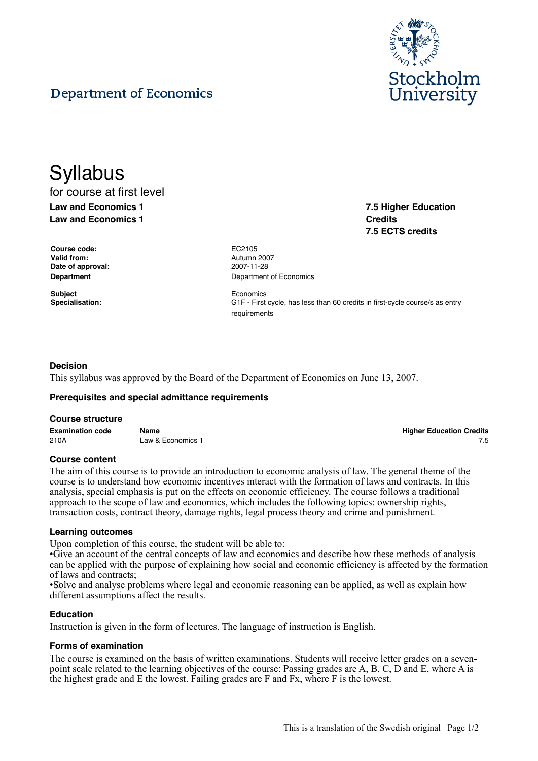

**7.5 Higher Education**

**7.5 ECTS credits**

**Credits**

# **Department of Economics**

## **Syllabus** for course at first level **Law and Economics 1**

**Law and Economics 1**

**Course code:** EC2105 **Valid from:** Autumn 2007 **Date of approval:** 2007-11-28

**Subject** Economics

**Department** Department **Department** of Economics

**Specialisation:** G1F - First cycle, has less than 60 credits in first-cycle course/s as entry requirements

### **Decision**

This syllabus was approved by the Board of the Department of Economics on June 13, 2007.

#### **Prerequisites and special admittance requirements**

#### **Course structure**

**Examination code Name Higher Education Credits** 210A Law & Economics 1 7.5

#### **Course content**

The aim of this course is to provide an introduction to economic analysis of law. The general theme of the course is to understand how economic incentives interact with the formation of laws and contracts. In this analysis, special emphasis is put on the effects on economic efficiency. The course follows a traditional approach to the scope of law and economics, which includes the following topics: ownership rights, transaction costs, contract theory, damage rights, legal process theory and crime and punishment.

#### **Learning outcomes**

Upon completion of this course, the student will be able to:

• Give an account of the central concepts of law and economics and describe how these methods of analysis can be applied with the purpose of explaining how social and economic efficiency is affected by the formation of laws and contracts;

• Solve and analyse problems where legal and economic reasoning can be applied, as well as explain how different assumptions affect the results.

#### **Education**

Instruction is given in the form of lectures. The language of instruction is English.

#### **Forms of examination**

The course is examined on the basis of written examinations. Students will receive letter grades on a sevenpoint scale related to the learning objectives of the course: Passing grades are A, B, C, D and E, where A is the highest grade and E the lowest. Failing grades are F and Fx, where F is the lowest.